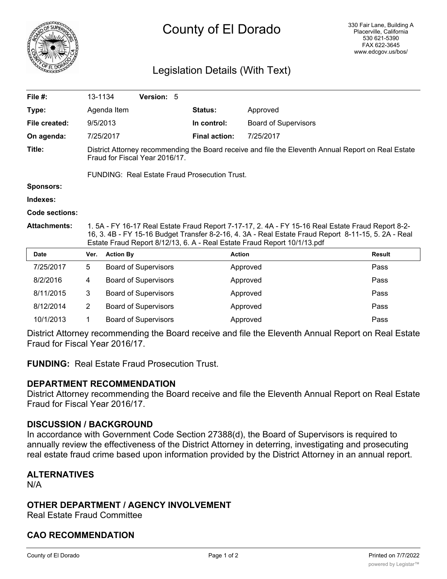

# County of El Dorado

### Legislation Details (With Text)

| File $#$ :          | 13-1134                                                                                                                                                                                                                                                                              |                  | Version: 5                  |  |                      |                             |  |               |
|---------------------|--------------------------------------------------------------------------------------------------------------------------------------------------------------------------------------------------------------------------------------------------------------------------------------|------------------|-----------------------------|--|----------------------|-----------------------------|--|---------------|
| Type:               |                                                                                                                                                                                                                                                                                      | Agenda Item      |                             |  | <b>Status:</b>       | Approved                    |  |               |
| File created:       | 9/5/2013                                                                                                                                                                                                                                                                             |                  |                             |  | In control:          | <b>Board of Supervisors</b> |  |               |
| On agenda:          |                                                                                                                                                                                                                                                                                      | 7/25/2017        |                             |  | <b>Final action:</b> | 7/25/2017                   |  |               |
| Title:              | District Attorney recommending the Board receive and file the Eleventh Annual Report on Real Estate<br>Fraud for Fiscal Year 2016/17.                                                                                                                                                |                  |                             |  |                      |                             |  |               |
|                     | FUNDING: Real Estate Fraud Prosecution Trust.                                                                                                                                                                                                                                        |                  |                             |  |                      |                             |  |               |
| <b>Sponsors:</b>    |                                                                                                                                                                                                                                                                                      |                  |                             |  |                      |                             |  |               |
| Indexes:            |                                                                                                                                                                                                                                                                                      |                  |                             |  |                      |                             |  |               |
| Code sections:      |                                                                                                                                                                                                                                                                                      |                  |                             |  |                      |                             |  |               |
| <b>Attachments:</b> | 1. 5A - FY 16-17 Real Estate Fraud Report 7-17-17, 2. 4A - FY 15-16 Real Estate Fraud Report 8-2-<br>16, 3. 4B - FY 15-16 Budget Transfer 8-2-16, 4. 3A - Real Estate Fraud Report 8-11-15, 5. 2A - Real<br>Estate Fraud Report 8/12/13, 6. A - Real Estate Fraud Report 10/1/13.pdf |                  |                             |  |                      |                             |  |               |
| Date                | Ver.                                                                                                                                                                                                                                                                                 | <b>Action By</b> |                             |  |                      | <b>Action</b>               |  | <b>Result</b> |
| 7/25/2017           | 5                                                                                                                                                                                                                                                                                    |                  | <b>Board of Supervisors</b> |  |                      | Approved                    |  | Pass          |
| 8/2/2016            | 4                                                                                                                                                                                                                                                                                    |                  | <b>Board of Supervisors</b> |  |                      | Approved                    |  | Pass          |
| 8/11/2015           | 3                                                                                                                                                                                                                                                                                    |                  | <b>Board of Supervisors</b> |  |                      | Approved                    |  | Pass          |
| 8/12/2014           | $\overline{2}$                                                                                                                                                                                                                                                                       |                  | <b>Board of Supervisors</b> |  |                      | Approved                    |  | Pass          |
| 10/1/2013           | 1                                                                                                                                                                                                                                                                                    |                  | <b>Board of Supervisors</b> |  |                      | Approved                    |  | Pass          |

District Attorney recommending the Board receive and file the Eleventh Annual Report on Real Estate Fraud for Fiscal Year 2016/17.

**FUNDING:** Real Estate Fraud Prosecution Trust.

### **DEPARTMENT RECOMMENDATION**

District Attorney recommending the Board receive and file the Eleventh Annual Report on Real Estate Fraud for Fiscal Year 2016/17.

### **DISCUSSION / BACKGROUND**

In accordance with Government Code Section 27388(d), the Board of Supervisors is required to annually review the effectiveness of the District Attorney in deterring, investigating and prosecuting real estate fraud crime based upon information provided by the District Attorney in an annual report.

## **ALTERNATIVES**

N/A

### **OTHER DEPARTMENT / AGENCY INVOLVEMENT**

Real Estate Fraud Committee

### **CAO RECOMMENDATION**